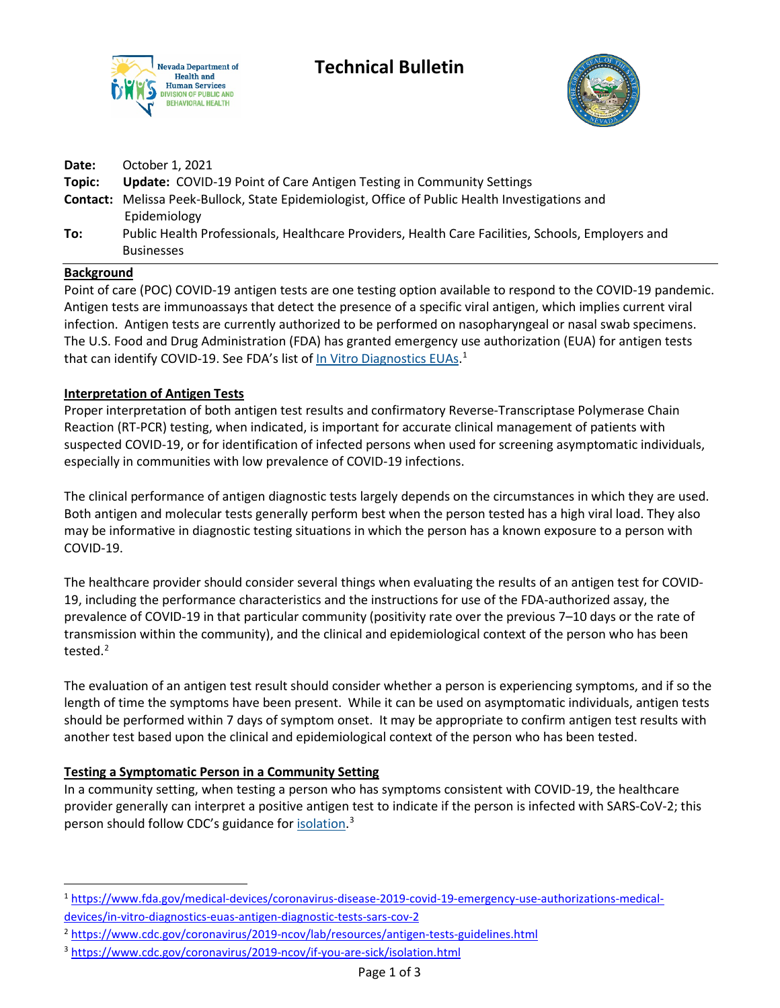

# **Technical Bulletin**



| To:             | Public Health Professionals, Healthcare Providers, Health Care Facilities, Schools, Employers and<br><b>Businesses</b> |
|-----------------|------------------------------------------------------------------------------------------------------------------------|
|                 | <b>Contact:</b> Melissa Peek-Bullock, State Epidemiologist, Office of Public Health Investigations and<br>Epidemiology |
| Date:<br>Topic: | October 1, 2021<br><b>Update: COVID-19 Point of Care Antigen Testing in Community Settings</b>                         |

#### **Background**

Point of care (POC) COVID-19 antigen tests are one testing option available to respond to the COVID-19 pandemic. Antigen tests are immunoassays that detect the presence of a specific viral antigen, which implies current viral infection. Antigen tests are currently authorized to be performed on nasopharyngeal or nasal swab specimens. The U.S. Food and Drug Administration (FDA) has granted emergency use authorization (EUA) for antigen tests that can identify COVID-19. See FDA's list of In Vitro Diagnostics EUAs.<sup>1</sup>

## **Interpretation of Antigen Tests**

Proper interpretation of both antigen test results and confirmatory Reverse-Transcriptase Polymerase Chain Reaction (RT-PCR) testing, when indicated, is important for accurate clinical management of patients with suspected COVID-19, or for identification of infected persons when used for screening asymptomatic individuals, especially in communities with low prevalence of COVID-19 infections.

The clinical performance of antigen diagnostic tests largely depends on the circumstances in which they are used. Both antigen and molecular tests generally perform best when the person tested has a high viral load. They also may be informative in diagnostic testing situations in which the person has a known exposure to a person with COVID-19.

The healthcare provider should consider several things when evaluating the results of an antigen test for COVID-19, including the performance characteristics and the instructions for use of the FDA-authorized assay, the prevalence of COVID-19 in that particular community (positivity rate over the previous 7–10 days or the rate of transmission within the community), and the clinical and epidemiological context of the person who has been tested.<sup>2</sup>

The evaluation of an antigen test result should consider whether a person is experiencing symptoms, and if so the length of time the symptoms have been present. While it can be used on asymptomatic individuals, antigen tests should be performed within 7 days of symptom onset. It may be appropriate to confirm antigen test results with another test based upon the clinical and epidemiological context of the person who has been tested.

# **Testing a Symptomatic Person in a Community Setting**

In a community setting, when testing a person who has symptoms consistent with COVID-19, the healthcare provider generally can interpret a positive antigen test to indicate if the person is infected with SARS-CoV-2; this person should follow CDC's guidance for **isolation**.<sup>3</sup>

<sup>1</sup> https://www.fda.gov/medical-devices/coronavirus-disease-2019-covid-19-emergency-use-authorizations-medicaldevices/in-vitro-diagnostics-euas-antigen-diagnostic-tests-sars-cov-2

<sup>2</sup> https://www.cdc.gov/coronavirus/2019-ncov/lab/resources/antigen-tests-guidelines.html

<sup>3</sup> https://www.cdc.gov/coronavirus/2019-ncov/if-you-are-sick/isolation.html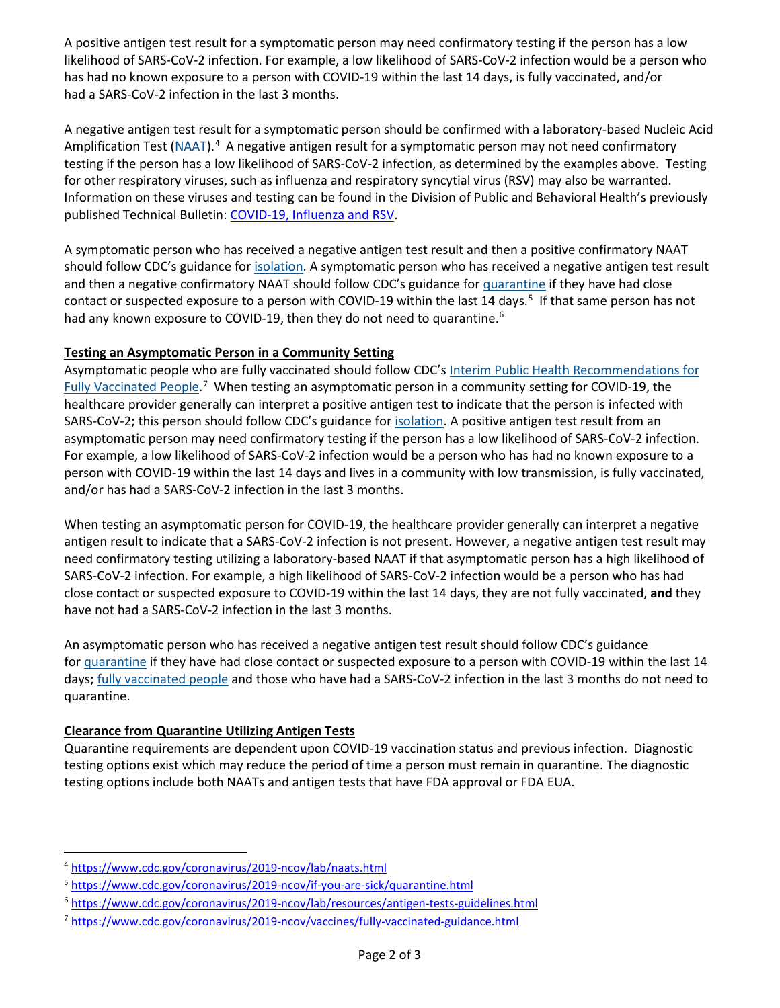A positive antigen test result for a symptomatic person may need confirmatory testing if the person has a low likelihood of SARS-CoV-2 infection. For example, a low likelihood of SARS-CoV-2 infection would be a person who has had no known exposure to a person with COVID-19 within the last 14 days, is fully vaccinated, and/or had a SARS-CoV-2 infection in the last 3 months.

A negative antigen test result for a symptomatic person should be confirmed with a laboratory-based Nucleic Acid Amplification Test (NAAT).<sup>4</sup> A negative antigen result for a symptomatic person may not need confirmatory testing if the person has a low likelihood of SARS-CoV-2 infection, as determined by the examples above. Testing for other respiratory viruses, such as influenza and respiratory syncytial virus (RSV) may also be warranted. Information on these viruses and testing can be found in the Division of Public and Behavioral Health's previously published Technical Bulletin: COVID-19, Influenza and RSV.

A symptomatic person who has received a negative antigen test result and then a positive confirmatory NAAT should follow CDC's guidance for isolation. A symptomatic person who has received a negative antigen test result and then a negative confirmatory NAAT should follow CDC's guidance for quarantine if they have had close contact or suspected exposure to a person with COVID-19 within the last 14 days.<sup>5</sup> If that same person has not had any known exposure to COVID-19, then they do not need to quarantine.<sup>6</sup>

## **Testing an Asymptomatic Person in a Community Setting**

Asymptomatic people who are fully vaccinated should follow CDC's Interim Public Health Recommendations for Fully Vaccinated People.<sup>7</sup> When testing an asymptomatic person in a community setting for COVID-19, the healthcare provider generally can interpret a positive antigen test to indicate that the person is infected with SARS-CoV-2; this person should follow CDC's guidance for isolation. A positive antigen test result from an asymptomatic person may need confirmatory testing if the person has a low likelihood of SARS-CoV-2 infection. For example, a low likelihood of SARS-CoV-2 infection would be a person who has had no known exposure to a person with COVID-19 within the last 14 days and lives in a community with low transmission, is fully vaccinated, and/or has had a SARS-CoV-2 infection in the last 3 months.

When testing an asymptomatic person for COVID-19, the healthcare provider generally can interpret a negative antigen result to indicate that a SARS-CoV-2 infection is not present. However, a negative antigen test result may need confirmatory testing utilizing a laboratory-based NAAT if that asymptomatic person has a high likelihood of SARS-CoV-2 infection. For example, a high likelihood of SARS-CoV-2 infection would be a person who has had close contact or suspected exposure to COVID-19 within the last 14 days, they are not fully vaccinated, **and** they have not had a SARS-CoV-2 infection in the last 3 months.

An asymptomatic person who has received a negative antigen test result should follow CDC's guidance for quarantine if they have had close contact or suspected exposure to a person with COVID-19 within the last 14 days; fully vaccinated people and those who have had a SARS-CoV-2 infection in the last 3 months do not need to quarantine.

# **Clearance from Quarantine Utilizing Antigen Tests**

Quarantine requirements are dependent upon COVID-19 vaccination status and previous infection. Diagnostic testing options exist which may reduce the period of time a person must remain in quarantine. The diagnostic testing options include both NAATs and antigen tests that have FDA approval or FDA EUA.

<sup>4</sup> https://www.cdc.gov/coronavirus/2019-ncov/lab/naats.html

<sup>5</sup> https://www.cdc.gov/coronavirus/2019-ncov/if-you-are-sick/quarantine.html

<sup>6</sup> https://www.cdc.gov/coronavirus/2019-ncov/lab/resources/antigen-tests-guidelines.html

<sup>7</sup> https://www.cdc.gov/coronavirus/2019-ncov/vaccines/fully-vaccinated-guidance.html